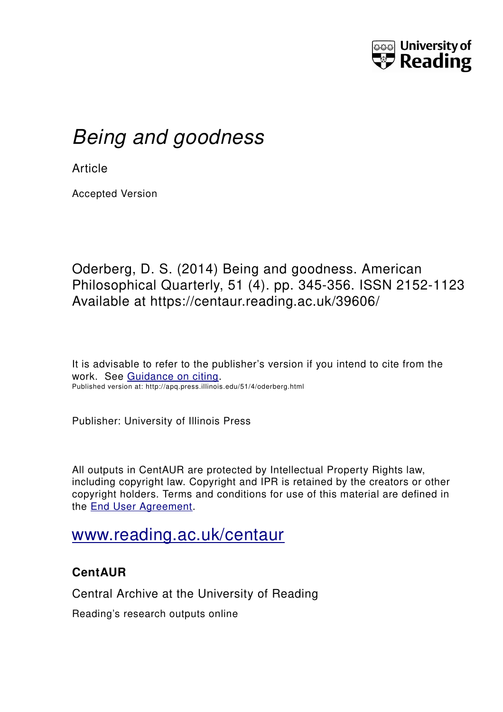

# *Being and goodness*

**Article** 

Accepted Version

Oderberg, D. S. (2014) Being and goodness. American Philosophical Quarterly, 51 (4). pp. 345-356. ISSN 2152-1123 Available at https://centaur.reading.ac.uk/39606/

It is advisable to refer to the publisher's version if you intend to cite from the work. See [Guidance on citing.](http://centaur.reading.ac.uk/71187/10/CentAUR%20citing%20guide.pdf) Published version at: http://apq.press.illinois.edu/51/4/oderberg.html

Publisher: University of Illinois Press

All outputs in CentAUR are protected by Intellectual Property Rights law, including copyright law. Copyright and IPR is retained by the creators or other copyright holders. Terms and conditions for use of this material are defined in the [End User Agreement.](http://centaur.reading.ac.uk/licence)

# [www.reading.ac.uk/centaur](http://www.reading.ac.uk/centaur)

# **CentAUR**

Central Archive at the University of Reading

Reading's research outputs online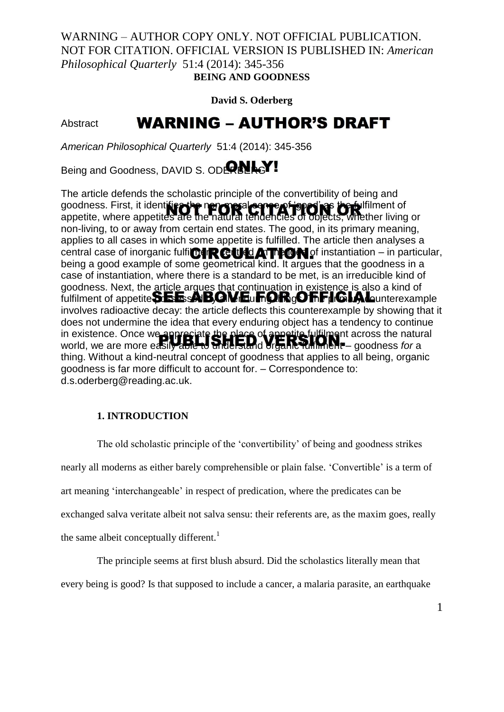**David S. Oderberg**

#### **WARNING - AUTHOR'S DRAFT** Abstract

*American Philosophical Quarterly* 51:4 (2014): 345-356

Being and Goodness, DAVID S. ODERBLACY!

The article defends the scholastic principle of the convertibility of being and goodness. First, it identifies the non-moral semi-exprisiped has the fulfilment of appetite, where appetites are the natural tendencies of objects, whether living or non-living, to or away from certain end states. The good, in its primary meaning, applies to all cases in which some appetite is fulfilled. The article then analyses a central case of inorganic fulfilment, central of instantiation – in particular, being a good example of some geometrical kind. It argues that the goodness in a case of instantiation, where there is a standard to be met, is an irreducible kind of goodness. Next, the article argues that continuation in existence is also a kind of fulfilment of appetite SEEsABOMEuFORgOFIFICIAL unterexample involves radioactive decay: the article deflects this counterexample by showing that it does not undermine the idea that every enduring object has a tendency to continue in existence. Once we appreciate the place of appetite fulfilment across the natural world, we are more easily able to understand organic fulfilment – goodness *for* a thing. Without a kind-neutral concept of goodness that applies to all being, organic goodness is far more difficult to account for. – Correspondence to: d.s.oderberg@reading.ac.uk.

### **1. INTRODUCTION**

The old scholastic principle of the 'convertibility' of being and goodness strikes nearly all moderns as either barely comprehensible or plain false. 'Convertible' is a term of art meaning 'interchangeable' in respect of predication, where the predicates can be exchanged salva veritate albeit not salva sensu: their referents are, as the maxim goes, really the same albeit conceptually different.<sup>1</sup>

The principle seems at first blush absurd. Did the scholastics literally mean that every being is good? Is that supposed to include a cancer, a malaria parasite, an earthquake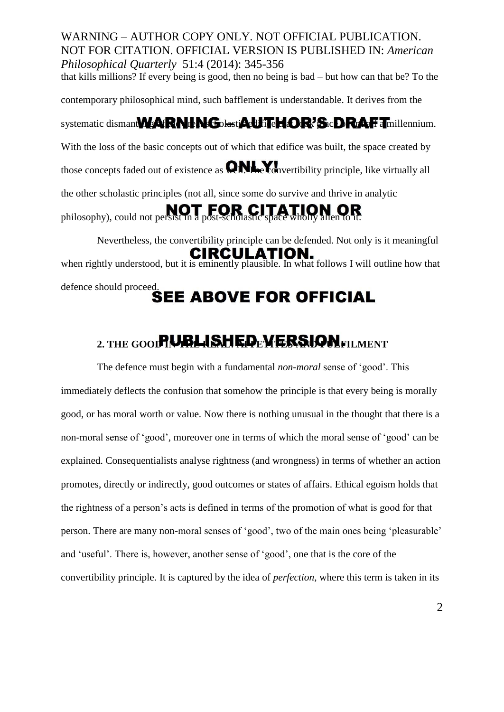WARNING – AUTHOR COPY ONLY. NOT OFFICIAL PUBLICATION. NOT FOR CITATION. OFFICIAL VERSION IS PUBLISHED IN: *American Philosophical Quarterly* 51:4 (2014): 345-356 that kills millions? If every being is good, then no being is bad – but how can that be? To the

contemporary philosophical mind, such bafflement is understandable. It derives from the

systematic dismant**MARNING**olesti**AUTHOR'S cDRAF** a millennium.

With the loss of the basic concepts out of which that edifice was built, the space created by those concepts faded out of existence as  $\mathbb{Q}$ . The convertibility principle, like virtually all the other scholastic principles (not all, since some do survive and thrive in analytic

# philosophy), could not persist in a post-scholastic space wholly alien to it.

Nevertheless, the convertibility principle can be defended. Not only is it meaningful **RCUI** LA1 when rightly understood, but it is eminently plausible. In what follows I will outline how that defence should proceed.<br>**SEE ABOVE FOR OFFICIAL** 

# 2. THE GOOD**PURLISHEDEVERSIONE**ILMENT

The defence must begin with a fundamental *non-moral* sense of 'good'. This immediately deflects the confusion that somehow the principle is that every being is morally good, or has moral worth or value. Now there is nothing unusual in the thought that there is a non-moral sense of 'good', moreover one in terms of which the moral sense of 'good' can be explained. Consequentialists analyse rightness (and wrongness) in terms of whether an action promotes, directly or indirectly, good outcomes or states of affairs. Ethical egoism holds that the rightness of a person's acts is defined in terms of the promotion of what is good for that person. There are many non-moral senses of 'good', two of the main ones being 'pleasurable' and 'useful'. There is, however, another sense of 'good', one that is the core of the convertibility principle. It is captured by the idea of *perfection*, where this term is taken in its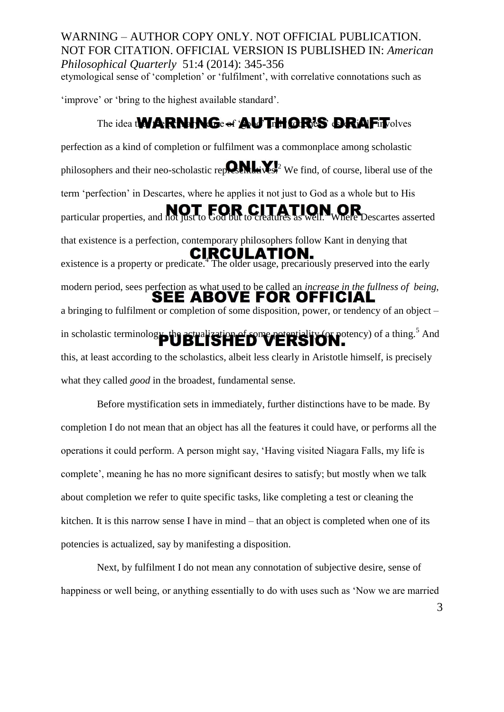etymological sense of 'completion' or 'fulfilment', with correlative connotations such as

'improve' or 'bring to the highest available standard'.

# The idea that **RNINGe of AUTHOR'S DRAFIT olves**

perfection as a kind of completion or fulfilment was a commonplace among scholastic philosophers and their neo-scholastic rep**onditional ve**st<sup>2</sup> We find, of course, liberal use of the term 'perfection' in Descartes, where he applies it not just to God as a whole but to His particular properties, and not just to God but to creatures as well. Where Descartes asserted that existence is a perfection, contemporary philosophers follow Kant in denying that RCU existence is a property or predicate.<sup>4</sup> The older usage, precariously preserved into the early modern period, sees perfection as what used to be called an *increase in the fullness of being*,<br>**SEE ABOVE FOR OFFICIAL** a bringing to fulfilment or completion of some disposition, power, or tendency of an object – in scholastic terminology the estualization of some potentiality (or potency) of a thing.<sup>5</sup> And this, at least according to the scholastics, albeit less clearly in Aristotle himself, is precisely what they called *good* in the broadest, fundamental sense.

Before mystification sets in immediately, further distinctions have to be made. By completion I do not mean that an object has all the features it could have, or performs all the operations it could perform. A person might say, 'Having visited Niagara Falls, my life is complete', meaning he has no more significant desires to satisfy; but mostly when we talk about completion we refer to quite specific tasks, like completing a test or cleaning the kitchen. It is this narrow sense I have in mind – that an object is completed when one of its potencies is actualized, say by manifesting a disposition.

Next, by fulfilment I do not mean any connotation of subjective desire, sense of happiness or well being, or anything essentially to do with uses such as 'Now we are married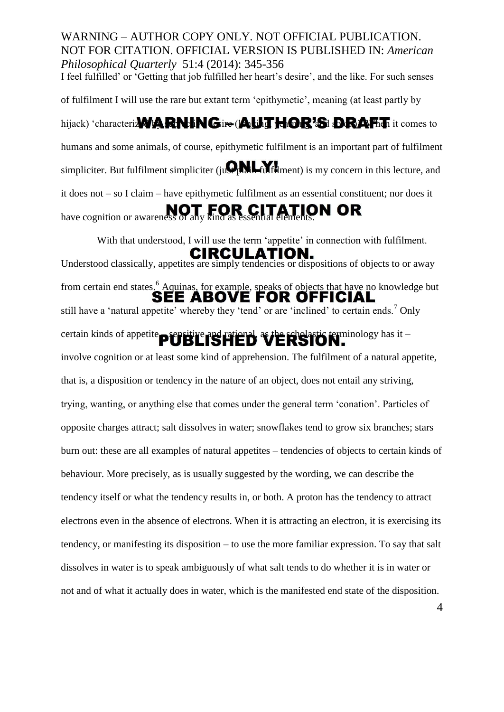### WARNING – AUTHOR COPY ONLY. NOT OFFICIAL PUBLICATION. NOT FOR CITATION. OFFICIAL VERSION IS PUBLISHED IN: *American Philosophical Quarterly* 51:4 (2014): 345-356 I feel fulfilled' or 'Getting that job fulfilled her heart's desire', and the like. For such senses

of fulfilment I will use the rare but extant term 'epithymetic', meaning (at least partly by hijack) 'characteri**MARNINGire (AUTHOR'SI DRAFIT** it comes to humans and some animals, of course, epithymetic fulfilment is an important part of fulfilment simpliciter. But fulfilment simpliciter (ju $\mathbf{Q}$   $\mathbf{M}$  fulfilment) is my concern in this lecture, and it does not – so I claim – have epithymetic fulfilment as an essential constituent; nor does it have cognition or awareness of any kind as essential elements.

With that understood, I will use the term 'appetite' in connection with fulfilment. RCU Understood classically, appetites are simply tendencies or dispositions of objects to or away from certain end states.<sup>6</sup> Aquinas, for example, speaks of objects that have no knowledge but<br>**SEE ABOVE FOR OFFICIAL** still have a 'natural appetite' whereby they 'tend' or are 'inclined' to certain ends.<sup>7</sup> Only certain kinds of appetite **PUBLISHED VERSION**. involve cognition or at least some kind of apprehension. The fulfilment of a natural appetite, that is, a disposition or tendency in the nature of an object, does not entail any striving, trying, wanting, or anything else that comes under the general term 'conation'. Particles of opposite charges attract; salt dissolves in water; snowflakes tend to grow six branches; stars burn out: these are all examples of natural appetites – tendencies of objects to certain kinds of behaviour. More precisely, as is usually suggested by the wording, we can describe the tendency itself or what the tendency results in, or both. A proton has the tendency to attract electrons even in the absence of electrons. When it is attracting an electron, it is exercising its tendency, or manifesting its disposition – to use the more familiar expression. To say that salt dissolves in water is to speak ambiguously of what salt tends to do whether it is in water or not and of what it actually does in water, which is the manifested end state of the disposition.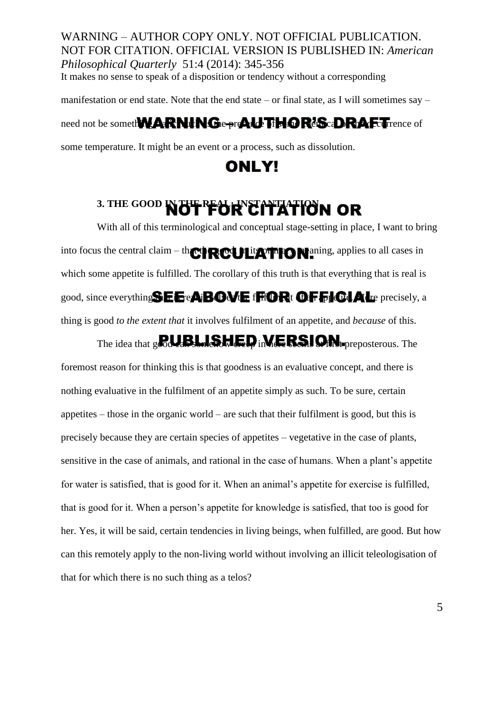WARNING – AUTHOR COPY ONLY. NOT OFFICIAL PUBLICATION. NOT FOR CITATION. OFFICIAL VERSION IS PUBLISHED IN: *American Philosophical Quarterly* 51:4 (2014): 345-356 It makes no sense to speak of a disposition or tendency without a corresponding

manifestation or end state. Note that the end state – or final state, as I will sometimes say – need not be something a RNHNGe-prealed This Research as the trence of some temperature. It might be an event or a process, such as dissolution.

# **ONLY!**

# 3. THE GOOD **NOT FOR CITATION OR**

With all of this terminological and conceptual stage-setting in place, I want to bring into focus the central claim – the the good, in its primary meaning, applies to all cases in which some appetite is fulfilled. The corollary of this truth is that everything that is real is good, since everything  $SEEeA$   $B0Me$  if  $nR$   $QF6R$  in  $QF6R$  in an appendix of an appendix of an appendix  $a$ thing is good *to the extent that* it involves fulfilment of an appetite, and *because* of this.

The idea that good **pure in**  $\mathbf{R}$   $\mathbf{E}$  properties at  $\mathbf{R}$   $\mathbf{S}$  **in**  $\mathbf{R}$   $\mathbf{R}$  **C**  $\mathbf{R}$  **C**  $\mathbf{R}$  **C**  $\mathbf{R}$  **C**  $\mathbf{R}$  **C**  $\mathbf{R}$  **C**  $\mathbf{R}$  **C**  $\mathbf{R}$  **C**  $\mathbf{R}$  **C**  $\mathbf{R}$  **C** foremost reason for thinking this is that goodness is an evaluative concept, and there is nothing evaluative in the fulfilment of an appetite simply as such. To be sure, certain appetites – those in the organic world – are such that their fulfilment is good, but this is precisely because they are certain species of appetites – vegetative in the case of plants, sensitive in the case of animals, and rational in the case of humans. When a plant's appetite for water is satisfied, that is good for it. When an animal's appetite for exercise is fulfilled, that is good for it. When a person's appetite for knowledge is satisfied, that too is good for her. Yes, it will be said, certain tendencies in living beings, when fulfilled, are good. But how can this remotely apply to the non-living world without involving an illicit teleologisation of that for which there is no such thing as a telos?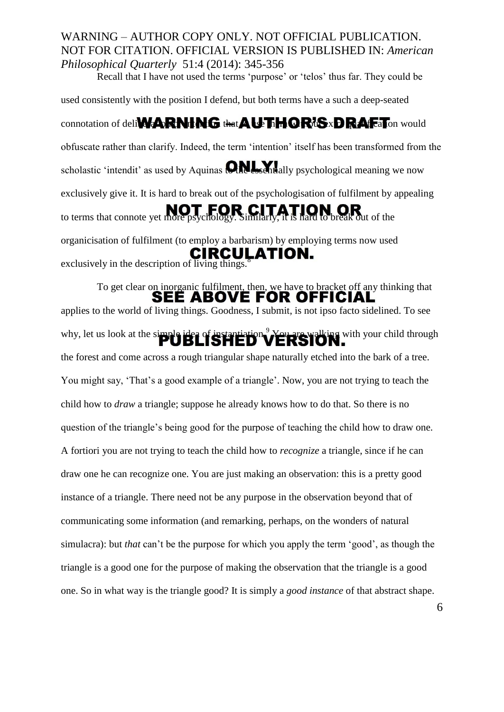Recall that I have not used the terms 'purpose' or 'telos' thus far. They could be used consistently with the position I defend, but both terms have a such a deep-seated connotation of deli $W_4$ ARNING that AUTHORIS xDRAFaTon would obfuscate rather than clarify. Indeed, the term 'intention' itself has been transformed from the scholastic 'intendit' as used by Aquinas  $\mathbf{Q}$ .  $\mathbf{Q}$  is the estimally psychological meaning we now exclusively give it. It is hard to break out of the psychologisation of fulfilment by appealing to terms that connote yet more psychology. Similarly, it is hard to break out of the organicisation of fulfilment (to employ a barbarism) by employing terms now used exclusively in the description of living things.<sup>8</sup>

To get clear on inorganic fulfilment, then, we have to bracket off any thinking that<br>**SEE ABOVE FOR OFFICIAL** applies to the world of living things. Goodness, I submit, is not ipso facto sidelined. To see why, let us look at the simple idea of instantiation.<sup>9</sup> Years walking with your child through the forest and come across a rough triangular shape naturally etched into the bark of a tree. You might say, 'That's a good example of a triangle'. Now, you are not trying to teach the child how to *draw* a triangle; suppose he already knows how to do that. So there is no question of the triangle's being good for the purpose of teaching the child how to draw one. A fortiori you are not trying to teach the child how to *recognize* a triangle, since if he can draw one he can recognize one. You are just making an observation: this is a pretty good instance of a triangle. There need not be any purpose in the observation beyond that of communicating some information (and remarking, perhaps, on the wonders of natural simulacra): but *that* can't be the purpose for which you apply the term 'good', as though the triangle is a good one for the purpose of making the observation that the triangle is a good one. So in what way is the triangle good? It is simply a *good instance* of that abstract shape.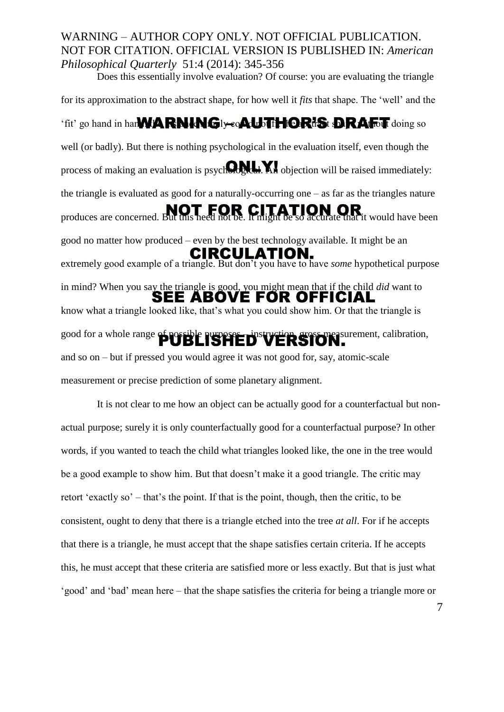Does this essentially involve evaluation? Of course: you are evaluating the triangle for its approximation to the abstract shape, for how well it *fits* that shape. The 'well' and the 'fit' go hand in han**MARNING**Iyeo**AU5THORISt DRAFT** doing so well (or badly). But there is nothing psychological in the evaluation itself, even though the process of making an evaluation is psychological.  $\mathbf{X}_n$  objection will be raised immediately: the triangle is evaluated as good for a naturally-occurring one – as far as the triangles nature produces are concerned. But this need not be. It might be so accurate that it would have been good no matter how produced – even by the best technology available. It might be an RCU LATI extremely good example of a triangle. But don't you have to have *some* hypothetical purpose in mind? When you say the triangle is good, you might mean that if the child *did* want to<br>**SEE ABOVE FOR OFFICIAL** know what a triangle looked like, that's what you could show him. Or that the triangle is good for a whole range **phossible purposes instruction** estimation, calibration, and so on – but if pressed you would agree it was not good for, say, atomic-scale measurement or precise prediction of some planetary alignment.

It is not clear to me how an object can be actually good for a counterfactual but nonactual purpose; surely it is only counterfactually good for a counterfactual purpose? In other words, if you wanted to teach the child what triangles looked like, the one in the tree would be a good example to show him. But that doesn't make it a good triangle. The critic may retort 'exactly so' – that's the point. If that is the point, though, then the critic, to be consistent, ought to deny that there is a triangle etched into the tree *at all*. For if he accepts that there is a triangle, he must accept that the shape satisfies certain criteria. If he accepts this, he must accept that these criteria are satisfied more or less exactly. But that is just what 'good' and 'bad' mean here – that the shape satisfies the criteria for being a triangle more or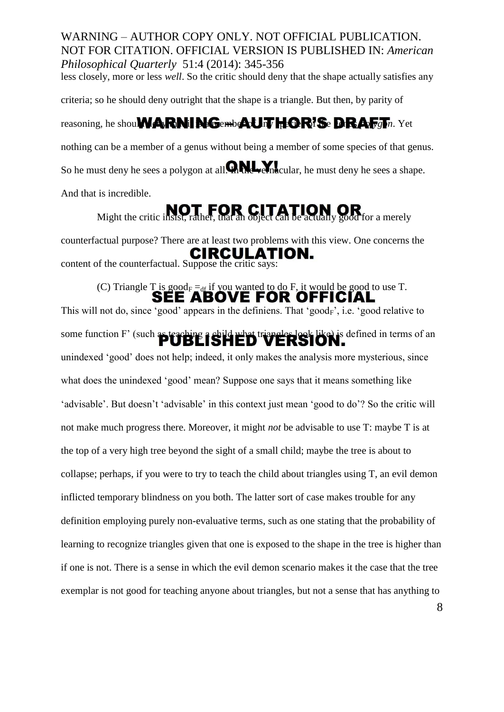less closely, more or less *well*. So the critic should deny that the shape actually satisfies any

criteria; so he should deny outright that the shape is a triangle. But then, by parity of

reasoning, he shou**ld ARNI NGember of HORISe DRAF**<sub>gen</sub>. Yet

nothing can be a member of a genus without being a member of some species of that genus.

So he must deny he sees a polygon at all.  $\mathbf{Q}$   $\mathbf{M}$  be verified and  $\mathbf{Q}$  and  $\mathbf{Q}$  are  $\mathbf{Q}$  as a shape.

And that is incredible.

# MOT FOR CITATION OR Might the critic insist, rather, that an object can be actually good for a merely

counterfactual purpose? There are at least two problems with this view. One concerns the IRCULATION. content of the counterfactual. Suppose the critic says:

# (C) Triangle T is good<sub>F</sub> = af if you wanted to do F, it would be good to use T.<br>**SEE ABOVE FOR OFFICIAL**

This will not do, since 'good' appears in the definiens. That 'good<sub>F</sub>', i.e. 'good relative to some function F' (such as teaching a child what triangles look like) is defined in terms of an unindexed 'good' does not help; indeed, it only makes the analysis more mysterious, since what does the unindexed 'good' mean? Suppose one says that it means something like 'advisable'. But doesn't 'advisable' in this context just mean 'good to do'? So the critic will not make much progress there. Moreover, it might *not* be advisable to use T: maybe T is at the top of a very high tree beyond the sight of a small child; maybe the tree is about to collapse; perhaps, if you were to try to teach the child about triangles using T, an evil demon inflicted temporary blindness on you both. The latter sort of case makes trouble for any definition employing purely non-evaluative terms, such as one stating that the probability of learning to recognize triangles given that one is exposed to the shape in the tree is higher than if one is not. There is a sense in which the evil demon scenario makes it the case that the tree exemplar is not good for teaching anyone about triangles, but not a sense that has anything to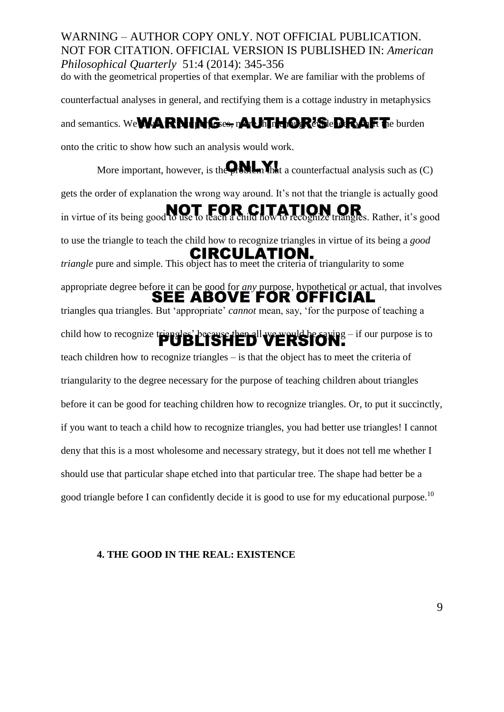WARNING – AUTHOR COPY ONLY. NOT OFFICIAL PUBLICATION. NOT FOR CITATION. OFFICIAL VERSION IS PUBLISHED IN: *American Philosophical Quarterly* 51:4 (2014): 345-356 do with the geometrical properties of that exemplar. We are familiar with the problems of counterfactual analyses in general, and rectifying them is a cottage industry in metaphysics and semantics. We **WARNING**es, martin than  $\mathbb{R}$  **she DRAFT** to burden onto the critic to show how such an analysis would work. More important, however, is the **Q.ML.** That a counterfactual analysis such as  $(C)$ gets the order of explanation the wrong way around. It's not that the triangle is actually good in virtue of its being good to use to teach a child how to recognize triangles. Rather, it's good to use the triangle to teach the child how to recognize triangles in virtue of its being a *good*  **CIRCULATION.**<br>*triangle* pure and simple. This object has to meet the criteria of triangularity to some **RCUI** appropriate degree before it can be good for *any* purpose, hypothetical or actual, that involves<br>**SEE ABOVE FOR OFFICIAL** triangles qua triangles. But 'appropriate' *cannot* mean, say, 'for the purpose of teaching a child how to recognize triangles' because then all we would be saying – if our purpose is to teach children how to recognize triangles – is that the object has to meet the criteria of triangularity to the degree necessary for the purpose of teaching children about triangles before it can be good for teaching children how to recognize triangles. Or, to put it succinctly, if you want to teach a child how to recognize triangles, you had better use triangles! I cannot deny that this is a most wholesome and necessary strategy, but it does not tell me whether I should use that particular shape etched into that particular tree. The shape had better be a good triangle before I can confidently decide it is good to use for my educational purpose.<sup>10</sup>

#### **4. THE GOOD IN THE REAL: EXISTENCE**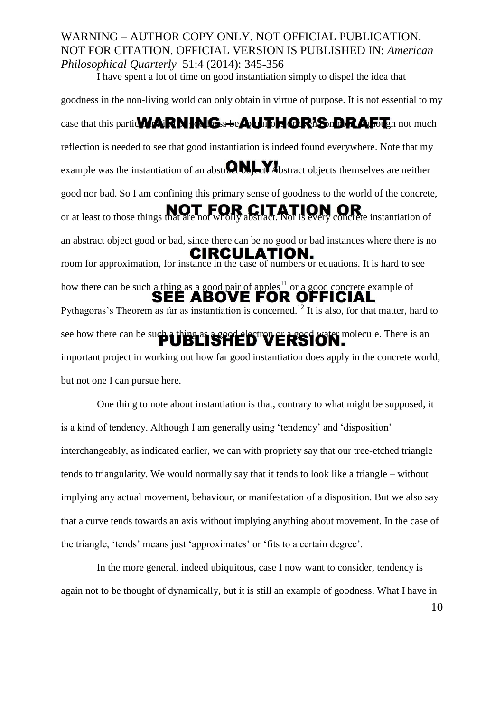I have spent a lot of time on good instantiation simply to dispel the idea that goodness in the non-living world can only obtain in virtue of purpose. It is not essential to my case that this partic**WARNING**s be AU iTH ORIS nDRAF or en much reflection is needed to see that good instantiation is indeed found everywhere. Note that my example was the instantiation of an abstr**act NL**<sub>**R**</sub> Abstract objects themselves are neither good nor bad. So I am confining this primary sense of goodness to the world of the concrete, or at least to those things that are not wholly abstract. Nor is every concrete instantiation of an abstract object good or bad, since there can be no good or bad instances where there is no RCU LATI room for approximation, for instance in the case of numbers or equations. It is hard to see how there can be such a thing as a good pair of apples<sup>11</sup> or a good concrete example of **SEE ABOVE FOR OFFICIAL** Pythagoras's Theorem as far as instantiation is concerned.<sup>12</sup> It is also, for that matter, hard to see how there can be such a thing as **seed the thing of the RSION**. important project in working out how far good instantiation does apply in the concrete world, but not one I can pursue here.

One thing to note about instantiation is that, contrary to what might be supposed, it is a kind of tendency. Although I am generally using 'tendency' and 'disposition' interchangeably, as indicated earlier, we can with propriety say that our tree-etched triangle tends to triangularity. We would normally say that it tends to look like a triangle – without implying any actual movement, behaviour, or manifestation of a disposition. But we also say that a curve tends towards an axis without implying anything about movement. In the case of the triangle, 'tends' means just 'approximates' or 'fits to a certain degree'.

In the more general, indeed ubiquitous, case I now want to consider, tendency is again not to be thought of dynamically, but it is still an example of goodness. What I have in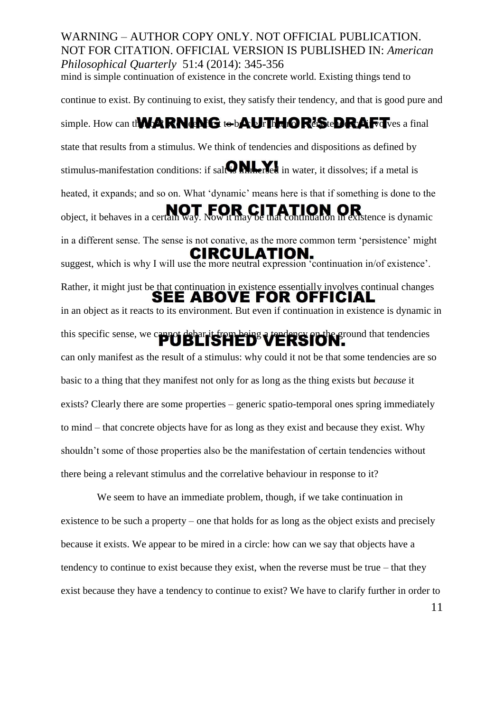# WARNING – AUTHOR COPY ONLY. NOT OFFICIAL PUBLICATION. NOT FOR CITATION. OFFICIAL VERSION IS PUBLISHED IN: *American Philosophical Quarterly* 51:4 (2014): 345-356 mind is simple continuation of existence in the concrete world. Existing things tend to continue to exist. By continuing to exist, they satisfy their tendency, and that is good pure and

simple. How can the that  $\mathbf R \mathbf N$  is to be clear that  $\mathbf R$  is the  $\mathbf R$  involves a final state that results from a stimulus. We think of tendencies and dispositions as defined by stimulus-manifestation conditions: if salter  $\mathbf{R}$  is in water, it dissolves; if a metal is heated, it expands; and so on. What 'dynamic' means here is that if something is done to the object, it behaves in a certain way. Now it may be that continuation in existence is dynamic in a different sense. The sense is not conative, as the more common term 'persistence' might suggest, which is why I will use the more neutral expression 'continuation in/of existence'. LATI ION. Rather, it might just be that continuation in existence essentially involves continual changes<br> **SEE ABOVE FOR OFFICIAL** in an object as it reacts to its environment. But even if continuation in existence is dynamic in this specific sense, we cannot debar it from being a tendency on the ground that tendencies can only manifest as the result of a stimulus: why could it not be that some tendencies are so basic to a thing that they manifest not only for as long as the thing exists but *because* it exists? Clearly there are some properties – generic spatio-temporal ones spring immediately to mind – that concrete objects have for as long as they exist and because they exist. Why shouldn't some of those properties also be the manifestation of certain tendencies without there being a relevant stimulus and the correlative behaviour in response to it?

We seem to have an immediate problem, though, if we take continuation in existence to be such a property – one that holds for as long as the object exists and precisely because it exists. We appear to be mired in a circle: how can we say that objects have a tendency to continue to exist because they exist, when the reverse must be true – that they exist because they have a tendency to continue to exist? We have to clarify further in order to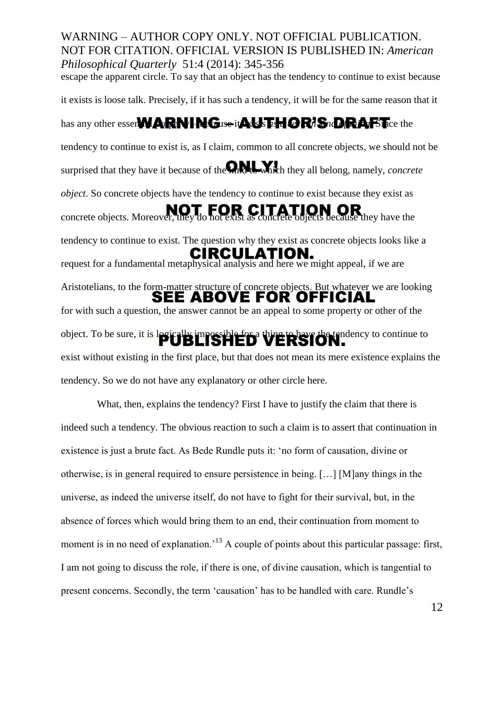escape the apparent circle. To say that an object has the tendency to continue to exist because it exists is loose talk. Precisely, if it has such a tendency, it will be for the same reason that it has any other essen**MARNING**use it Als T.HORIS<sup>n</sup>DRAFTice the tendency to continue to exist is, as I claim, common to all concrete objects, we should not be surprised that they have it because of the  $\mathbf{Q}$ <sub>ind</sub> to which they all belong, namely, *concrete object*. So concrete objects have the tendency to continue to exist because they exist as concrete objects. Moreover, they do not exist as concrete objects because they have the tendency to continue to exist. The question why they exist as concrete objects looks like a RCU LAT request for a fundamental metaphysical analysis and here we might appeal, if we are Aristotelians, to the form-matter structure of concrete objects. But whatever we are looking<br>SEE ABOVE FOR OFFICIAL for with such a question, the answer cannot be an appeal to some property or other of the object. To be sure, it is logically impossible for a thing to have the tendency to continue to exist without existing in the first place, but that does not mean its mere existence explains the tendency. So we do not have any explanatory or other circle here.

What, then, explains the tendency? First I have to justify the claim that there is indeed such a tendency. The obvious reaction to such a claim is to assert that continuation in existence is just a brute fact. As Bede Rundle puts it: 'no form of causation, divine or otherwise, is in general required to ensure persistence in being. […] [M]any things in the universe, as indeed the universe itself, do not have to fight for their survival, but, in the absence of forces which would bring them to an end, their continuation from moment to moment is in no need of explanation.<sup>13</sup> A couple of points about this particular passage: first, I am not going to discuss the role, if there is one, of divine causation, which is tangential to present concerns. Secondly, the term 'causation' has to be handled with care. Rundle's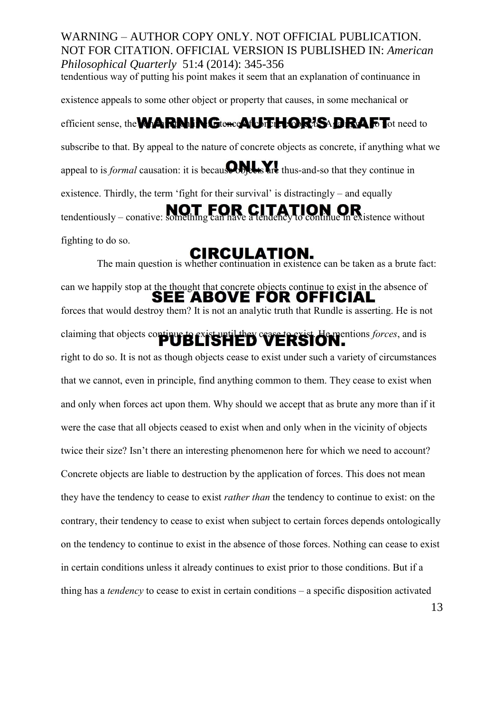### WARNING – AUTHOR COPY ONLY. NOT OFFICIAL PUBLICATION. NOT FOR CITATION. OFFICIAL VERSION IS PUBLISHED IN: *American Philosophical Quarterly* 51:4 (2014): 345-356 tendentious way of putting his point makes it seem that an explanation of continuance in

existence appeals to some other object or property that causes, in some mechanical or efficient sense, the **WARNINGtence At UTHORISADRAFT** ot need to subscribe to that. By appeal to the nature of concrete objects as concrete, if anything what we appeal to is *formal* causation: it is because  $\mathbf{Q}$ ,  $\mathbf{Q}$ ,  $\mathbf{Q}$ ,  $\mathbf{Q}$ , thus-and-so that they continue in existence. Thirdly, the term 'fight for their survival' is distractingly – and equally tendentiously – conative: something can have a tendency to continue in existence without fighting to do so.

#### IRCULA' The main question is whether continuation in existence can be taken as a brute fact:

can we happily stop at the thought that concrete objects continue to exist in the absence of<br>**SEE ABOVE FOR OFFICIAL** forces that would destroy them? It is not an analytic truth that Rundle is asserting. He is not claiming that objects continue to exist until they cease the mentions *forces*, and is right to do so. It is not as though objects cease to exist under such a variety of circumstances that we cannot, even in principle, find anything common to them. They cease to exist when and only when forces act upon them. Why should we accept that as brute any more than if it were the case that all objects ceased to exist when and only when in the vicinity of objects twice their size? Isn't there an interesting phenomenon here for which we need to account? Concrete objects are liable to destruction by the application of forces. This does not mean they have the tendency to cease to exist *rather than* the tendency to continue to exist: on the contrary, their tendency to cease to exist when subject to certain forces depends ontologically on the tendency to continue to exist in the absence of those forces. Nothing can cease to exist in certain conditions unless it already continues to exist prior to those conditions. But if a thing has a *tendency* to cease to exist in certain conditions – a specific disposition activated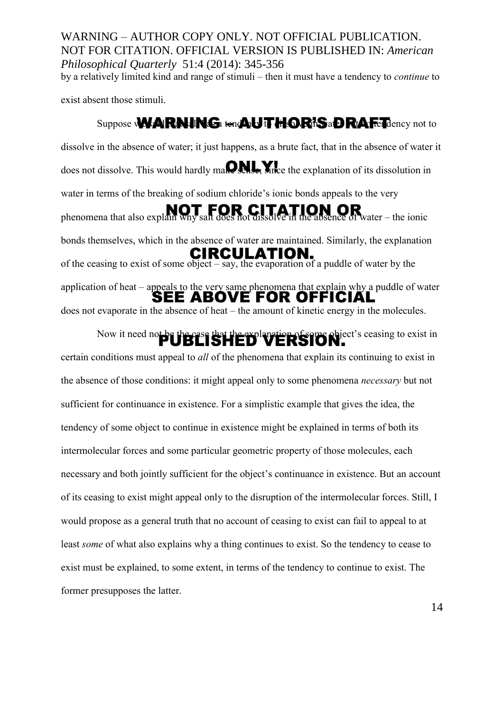by a relatively limited kind and range of stimuli – then it must have a tendency to *continue* to exist absent those stimuli.

# Suppose WARNING tenAUTHORISaDRAFerdency not to

dissolve in the absence of water; it just happens, as a brute fact, that in the absence of water it does not dissolve. This would hardly ma**ke sense, since** the explanation of its dissolution in water in terms of the breaking of sodium chloride's ionic bonds appeals to the very phenomena that also explain why salt does not dissolve in the absence of water – the ionic bonds themselves, which in the absence of water are maintained. Similarly, the explanation RCULATI of the ceasing to exist of some object – say, the evaporation of a puddle of water by the application of heat – appeals to the very same phenomena that explain why a puddle of water<br>SEE ABOVE FOR OFFICIAL does not evaporate in the absence of heat – the amount of kinetic energy in the molecules.

Now it need not be the case that the explanation of some object's ceasing to exist in certain conditions must appeal to *all* of the phenomena that explain its continuing to exist in the absence of those conditions: it might appeal only to some phenomena *necessary* but not sufficient for continuance in existence. For a simplistic example that gives the idea, the tendency of some object to continue in existence might be explained in terms of both its intermolecular forces and some particular geometric property of those molecules, each necessary and both jointly sufficient for the object's continuance in existence. But an account of its ceasing to exist might appeal only to the disruption of the intermolecular forces. Still, I would propose as a general truth that no account of ceasing to exist can fail to appeal to at least *some* of what also explains why a thing continues to exist. So the tendency to cease to exist must be explained, to some extent, in terms of the tendency to continue to exist. The former presupposes the latter.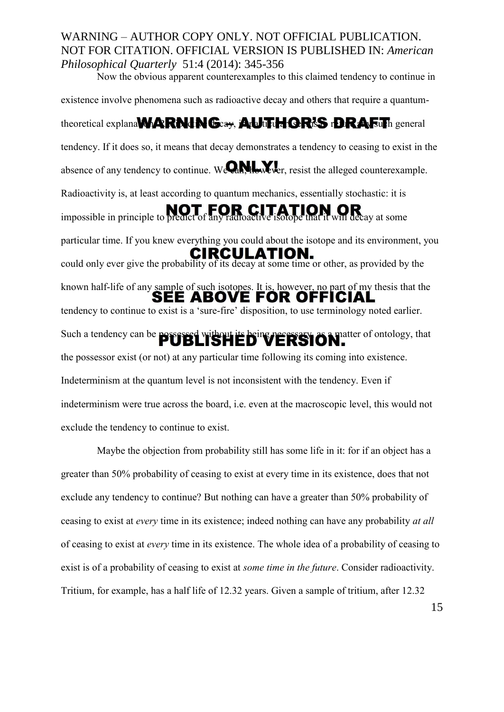Now the obvious apparent counterexamples to this claimed tendency to continue in existence involve phenomena such as radioactive decay and others that require a quantumtheoretical explana**WARNING**cay, **Addit HOR'S DRAFT**h general tendency. If it does so, it means that decay demonstrates a tendency to ceasing to exist in the absence of any tendency to continue. We can however, resist the alleged counterexample. Radioactivity is, at least according to quantum mechanics, essentially stochastic: it is impossible in principle to predict of any radioactive isotope that it will decay at some particular time. If you knew everything you could about the isotope and its environment, you RCU LATI could only ever give the probability of its decay at some time or other, as provided by the known half-life of any sample of such isotopes. It is, however, no part of my thesis that the<br>**SEE ABOVE FOR OFFICIAL** tendency to continue to exist is a 'sure-fire' disposition, to use terminology noted earlier. Such a tendency can be **possed without its being necessary of Numerica** of ontology, that the possessor exist (or not) at any particular time following its coming into existence. Indeterminism at the quantum level is not inconsistent with the tendency. Even if indeterminism were true across the board, i.e. even at the macroscopic level, this would not exclude the tendency to continue to exist.

Maybe the objection from probability still has some life in it: for if an object has a greater than 50% probability of ceasing to exist at every time in its existence, does that not exclude any tendency to continue? But nothing can have a greater than 50% probability of ceasing to exist at *every* time in its existence; indeed nothing can have any probability *at all* of ceasing to exist at *every* time in its existence. The whole idea of a probability of ceasing to exist is of a probability of ceasing to exist at *some time in the future*. Consider radioactivity. Tritium, for example, has a half life of 12.32 years. Given a sample of tritium, after 12.32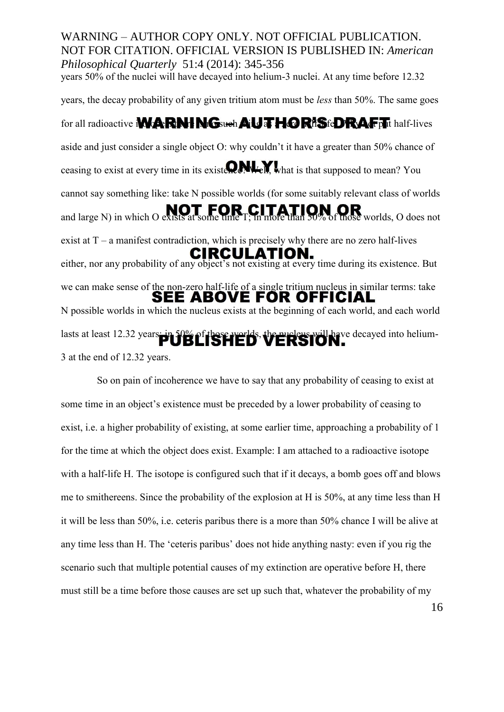### WARNING – AUTHOR COPY ONLY. NOT OFFICIAL PUBLICATION. NOT FOR CITATION. OFFICIAL VERSION IS PUBLISHED IN: *American Philosophical Quarterly* 51:4 (2014): 345-356 years 50% of the nuclei will have decayed into helium-3 nuclei. At any time before 12.32

years, the decay probability of any given tritium atom must be *less* than 50%. The same goes for all radioactive **MARNING**such All THORISfeDRAF<sub>put</sub> half-lives aside and just consider a single object O: why couldn't it have a greater than 50% chance of ceasing to exist at every time in its existence  $\mathbf{R}$ . what is that supposed to mean? You cannot say something like: take N possible worlds (for some suitably relevant class of worlds and large N) in which O exists at some time T; in more than 50% of those worlds, O does not exist at T – a manifest contradiction, which is precisely why there are no zero half-lives RCUI either, nor any probability of any object's not existing at every time during its existence. But we can make sense of the non-zero half-life of a single tritium nucleus in similar terms: take<br>SEE ABOVE FOR OFFICIAL N possible worlds in which the nucleus exists at the beginning of each world, and each world lasts at least 12.32 years; in 50% of these worlds, the nucleus will have decayed into helium-3 at the end of 12.32 years.

So on pain of incoherence we have to say that any probability of ceasing to exist at some time in an object's existence must be preceded by a lower probability of ceasing to exist, i.e. a higher probability of existing, at some earlier time, approaching a probability of 1 for the time at which the object does exist. Example: I am attached to a radioactive isotope with a half-life H. The isotope is configured such that if it decays, a bomb goes off and blows me to smithereens. Since the probability of the explosion at H is 50%, at any time less than H it will be less than 50%, i.e. ceteris paribus there is a more than 50% chance I will be alive at any time less than H. The 'ceteris paribus' does not hide anything nasty: even if you rig the scenario such that multiple potential causes of my extinction are operative before H, there must still be a time before those causes are set up such that, whatever the probability of my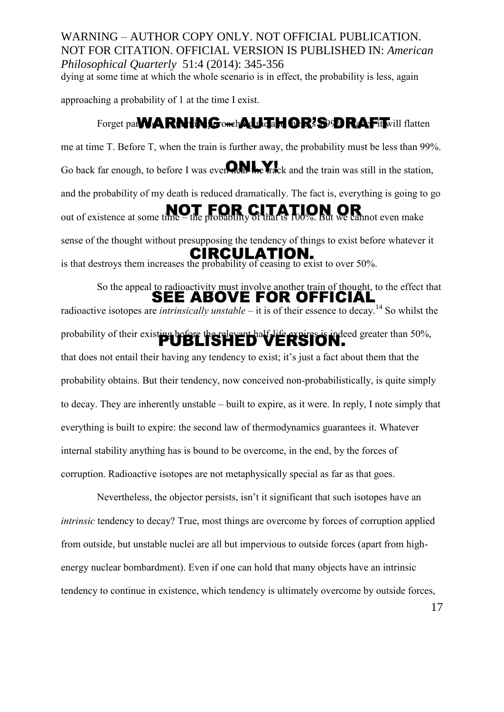dying at some time at which the whole scenario is in effect, the probability is less, again

approaching a probability of 1 at the time I exist.

# Forget particles Reserved me and the and the set of the set of the set of the flatten

me at time T. Before T, when the train is further away, the probability must be less than 99%. Go back far enough, to before I was even  $\Omega$  the track and the train was still in the station. and the probability of my death is reduced dramatically. The fact is, everything is going to go out of existence at some time – the probability of that is 100%. But we cannot even make sense of the thought without presupposing the tendency of things to exist before whatever it RCUI LAT is that destroys them increases the probability of ceasing to exist to over 50%.

So the appeal to radioactivity must involve another train of thought, to the effect that<br>SEE ABOVE FOR OFFICIAL radioactive isotopes are *intrinsically unstable* – it is of their essence to decay.<sup>14</sup> So whilst the probability of their existing before the relevant half-life expires is indeed greater than 50%, that does not entail their having any tendency to exist; it's just a fact about them that the probability obtains. But their tendency, now conceived non-probabilistically, is quite simply to decay. They are inherently unstable – built to expire, as it were. In reply, I note simply that everything is built to expire: the second law of thermodynamics guarantees it. Whatever internal stability anything has is bound to be overcome, in the end, by the forces of corruption. Radioactive isotopes are not metaphysically special as far as that goes.

Nevertheless, the objector persists, isn't it significant that such isotopes have an *intrinsic* tendency to decay? True, most things are overcome by forces of corruption applied from outside, but unstable nuclei are all but impervious to outside forces (apart from highenergy nuclear bombardment). Even if one can hold that many objects have an intrinsic tendency to continue in existence, which tendency is ultimately overcome by outside forces,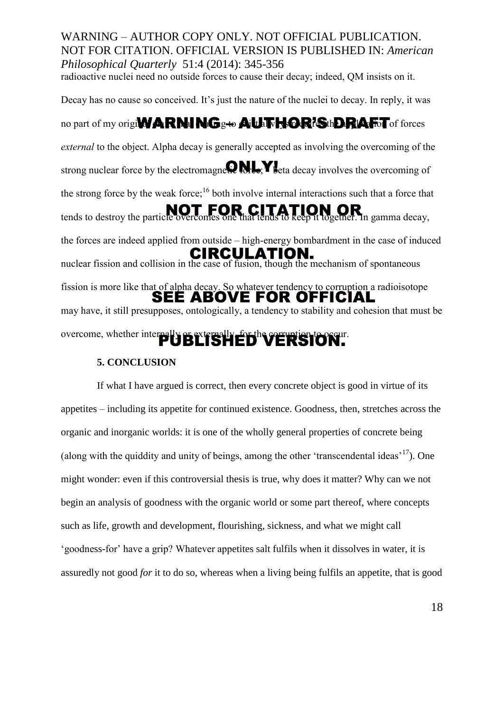### WARNING – AUTHOR COPY ONLY. NOT OFFICIAL PUBLICATION. NOT FOR CITATION. OFFICIAL VERSION IS PUBLISHED IN: *American Philosophical Quarterly* 51:4 (2014): 345-356 radioactive nuclei need no outside forces to cause their decay; indeed, QM insists on it.

Decay has no cause so conceived. It's just the nature of the nuclei to decay. In reply, it was no part of my origi**ng a RNING**gto **ALLIVIORISthDRAF** of forces *external* to the object. Alpha decay is generally accepted as involving the overcoming of the strong nuclear force by the electromagnetic  $\mathbf{Q}$   $\mathbf{M}$ ,  $\mathbf{V}$  beta decay involves the overcoming of the strong force by the weak force;<sup>16</sup> both involve internal interactions such that a force that tends to destroy the particle overcomes one that tends to keep it together. In gamma decay, the forces are indeed applied from outside – high-energy bombardment in the case of induced RCUI LATI nuclear fission and collision in the case of fusion, though the mechanism of spontaneous fission is more like that of alpha decay. So whatever tendency to corruption a radioisotope<br>**SEE ABOVE FOR OFFICIAL** may have, it still presupposes, ontologically, a tendency to stability and cohesion that must be overcome, whether intermally as externally for the correction to occur.

### **5. CONCLUSION**

If what I have argued is correct, then every concrete object is good in virtue of its appetites – including its appetite for continued existence. Goodness, then, stretches across the organic and inorganic worlds: it is one of the wholly general properties of concrete being (along with the quiddity and unity of beings, among the other 'transcendental ideas'<sup>17</sup>). One might wonder: even if this controversial thesis is true, why does it matter? Why can we not begin an analysis of goodness with the organic world or some part thereof, where concepts such as life, growth and development, flourishing, sickness, and what we might call 'goodness-for' have a grip? Whatever appetites salt fulfils when it dissolves in water, it is assuredly not good *for* it to do so, whereas when a living being fulfils an appetite, that is good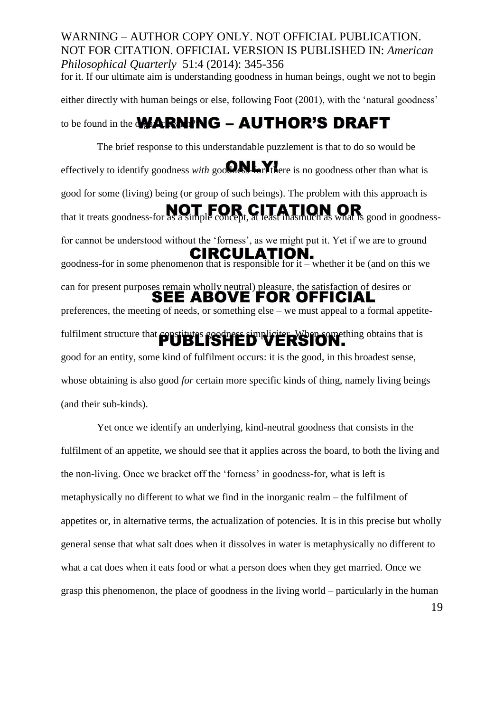WARNING – AUTHOR COPY ONLY. NOT OFFICIAL PUBLICATION. NOT FOR CITATION. OFFICIAL VERSION IS PUBLISHED IN: *American Philosophical Quarterly* 51:4 (2014): 345-356 for it. If our ultimate aim is understanding goodness in human beings, ought we not to begin

either directly with human beings or else, following Foot (2001), with the 'natural goodness' to be found in the **WARNING - AUTHOR'S DRAFT** 

The brief response to this understandable puzzlement is that to do so would be effectively to identify goodness *with* goodness-fortune is no goodness other than what is good for some (living) being (or group of such beings). The problem with this approach is that it treats goodness-for as a simple concept, at least inasmuch as what is good in goodnessfor cannot be understood without the 'forness', as we might put it. Yet if we are to ground RCU LAT goodness-for in some phenomenon that is responsible for it – whether it be (and on this we can for present purposes remain wholly neutral) pleasure, the satisfaction of desires or<br>SEE ABOVE FOR OFFICIAL preferences, the meeting of needs, or something else – we must appeal to a formal appetitefulfilment structure that **put in the second state in the constitution** obtains that is good for an entity, some kind of fulfilment occurs: it is the good, in this broadest sense, whose obtaining is also good *for* certain more specific kinds of thing, namely living beings (and their sub-kinds).

Yet once we identify an underlying, kind-neutral goodness that consists in the fulfilment of an appetite, we should see that it applies across the board, to both the living and the non-living. Once we bracket off the 'forness' in goodness-for, what is left is metaphysically no different to what we find in the inorganic realm – the fulfilment of appetites or, in alternative terms, the actualization of potencies. It is in this precise but wholly general sense that what salt does when it dissolves in water is metaphysically no different to what a cat does when it eats food or what a person does when they get married. Once we grasp this phenomenon, the place of goodness in the living world – particularly in the human

19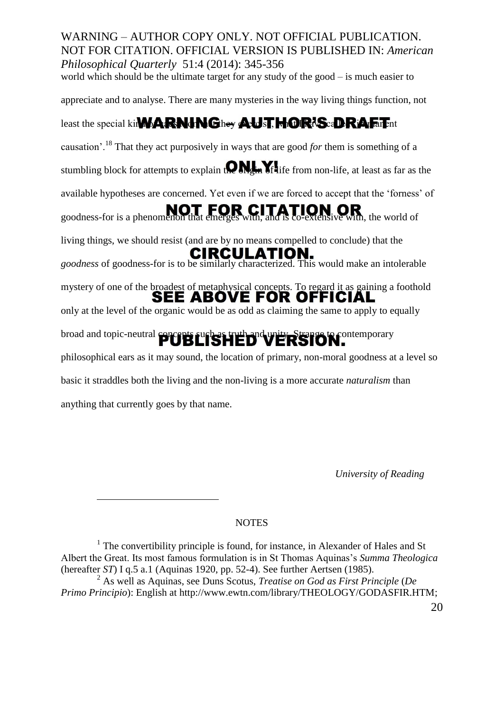WARNING – AUTHOR COPY ONLY. NOT OFFICIAL PUBLICATION. NOT FOR CITATION. OFFICIAL VERSION IS PUBLISHED IN: *American Philosophical Quarterly* 51:4 (2014): 345-356 world which should be the ultimate target for any study of the good – is much easier to appreciate and to analyse. There are many mysteries in the way living things function, not least the special kin**MARNING**hey **ALIST HORISCORAFaTEnt** causation'.<sup>18</sup> That they act purposively in ways that are good *for* them is something of a stumbling block for attempts to explain  $\mathbf{QML}$ ,  $\mathbf{M}$  ife from non-life, at least as far as the available hypotheses are concerned. Yet even if we are forced to accept that the 'forness' of goodness-for is a phenomenon that emerges with, and is co-extensive with, the world of living things, we should resist (and are by no means compelled to conclude) that the **IRCULATION.** CI *goodness* of goodness-for is to be similarly characterized. This would make an intolerable mystery of one of the broadest of metaphysical concepts. To regard it as gaining a foothold<br>**SEE ABOVE FOR OFFICIAL** only at the level of the organic would be as odd as claiming the same to apply to equally broad and topic-neutral concepts such as truth and white RSTON. philosophical ears as it may sound, the location of primary, non-moral goodness at a level so basic it straddles both the living and the non-living is a more accurate *naturalism* than anything that currently goes by that name.

*University of Reading*

### **NOTES**

l

<sup>1</sup> The convertibility principle is found, for instance, in Alexander of Hales and St Albert the Great. Its most famous formulation is in St Thomas Aquinas's *Summa Theologica* (hereafter *ST*) I q.5 a.1 (Aquinas 1920, pp. 52-4). See further Aertsen (1985).

<sup>2</sup> As well as Aquinas, see Duns Scotus, *Treatise on God as First Principle* (*De Primo Principio*): English at http://www.ewtn.com/library/THEOLOGY/GODASFIR.HTM;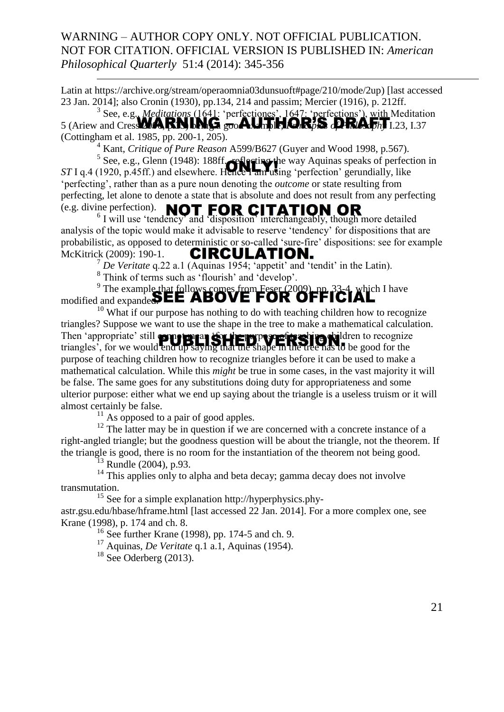Latin at https://archive.org/stream/operaomnia03dunsuoft#page/210/mode/2up) [last accessed 23 Jan. 2014]; also Cronin (1930), pp.134, 214 and passim; Mercier (1916), p. 212ff.

<sup>3</sup> See, e.g., *Meditations* (1641: 'perfectiones', 1647: 'perfections'), with Meditation 5 (Ariew and Cress **2006, KIS behisa** goo**d kample;** *Parkiples of Philosophy* I.23, I.37 (Cottingham et al. 1985, pp. 200-1, 205).

<sup>4</sup> Kant, *Critique of Pure Reason* A599/B627 (Guyer and Wood 1998, p.567).

 $<sup>5</sup>$  See, e.g., Glenn (1948): 188ff., reflecting the way Aquinas speaks of perfection in</sup> *ST* I q.4 (1920, p.45ff.) and elsewhere. Hence I am using 'perfection' gerundially, like 'perfecting', rather than as a pure noun denoting the *outcome* or state resulting from perfecting, let alone to denote a state that is absolute and does not result from any perfecting (e.g. divine perfection). **NOT FOR CITATION OR** <sup>6</sup> I will use 'tendency' and 'disposition' interchangeably, though more detailed

analysis of the topic would make it advisable to reserve 'tendency' for dispositions that are probabilistic, as opposed to deterministic or so-called 'sure-fire' dispositions: see for example McKitrick (2009): 190-1. CIRCULATION. McKitrick (2009): 190-1.

<sup>7</sup> *De Veritate* q.22 a.1 (Aquinas 1954; 'appetit' and 'tendit' in the Latin).

8 Think of terms such as 'flourish' and 'develop'.

<sup>9</sup> The example that follows comes from Feser (2009), pp. 33-4, which I have modified and expanded.

 $10$  What if our purpose has nothing to do with teaching children how to recognize triangles? Suppose we want to use the shape in the tree to make a mathematical calculation. Then 'appropriate' still complete and  $\mathbf{C}$  the purpose of the children to recognize triangles', for we would end up saying that the shape in the tree has to be good for the purpose of teaching children how to recognize triangles before it can be used to make a mathematical calculation. While this *might* be true in some cases, in the vast majority it will be false. The same goes for any substitutions doing duty for appropriateness and some ulterior purpose: either what we end up saying about the triangle is a useless truism or it will almost certainly be false.

 $11$  As opposed to a pair of good apples.

<sup>12</sup> The latter may be in question if we are concerned with a concrete instance of a right-angled triangle; but the goodness question will be about the triangle, not the theorem. If the triangle is good, there is no room for the instantiation of the theorem not being good.

 $^{13}_{13}$  Rundle (2004), p.93.

l

 $14$  This applies only to alpha and beta decay; gamma decay does not involve transmutation.

<sup>15</sup> See for a simple explanation http://hyperphysics.phy-

astr.gsu.edu/hbase/hframe.html [last accessed 22 Jan. 2014]. For a more complex one, see Krane (1998), p. 174 and ch. 8.

 $16$  See further Krane (1998), pp. 174-5 and ch. 9.

<sup>17</sup> Aquinas, *De Veritate* q.1 a.1, Aquinas (1954).

 $18$  See Oderberg (2013).